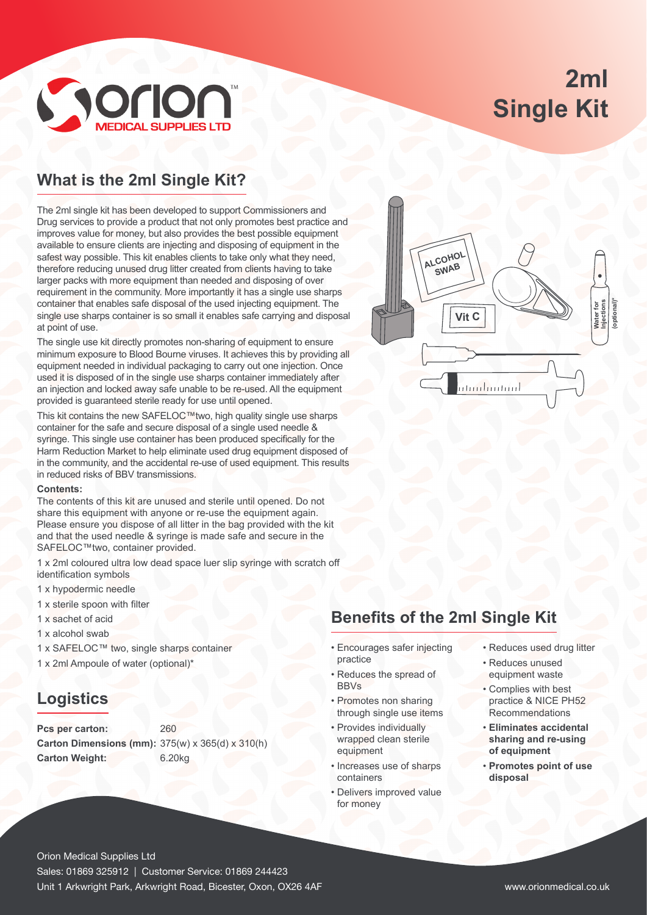# **2ml Single Kit**



## **What is the 2ml Single Kit?**

The 2ml single kit has been developed to support Commissioners and Drug services to provide a product that not only promotes best practice and improves value for money, but also provides the best possible equipment available to ensure clients are injecting and disposing of equipment in the safest way possible. This kit enables clients to take only what they need, therefore reducing unused drug litter created from clients having to take larger packs with more equipment than needed and disposing of over requirement in the community. More importantly it has a single use sharps container that enables safe disposal of the used injecting equipment. The single use sharps container is so small it enables safe carrying and disposal at point of use.

The single use kit directly promotes non-sharing of equipment to ensure minimum exposure to Blood Bourne viruses. It achieves this by providing all equipment needed in individual packaging to carry out one injection. Once used it is disposed of in the single use sharps container immediately after an injection and locked away safe unable to be re-used. All the equipment provided is guaranteed sterile ready for use until opened.

This kit contains the new SAFELOC™two, high quality single use sharps container for the safe and secure disposal of a single used needle & syringe. This single use container has been produced specifically for the Harm Reduction Market to help eliminate used drug equipment disposed of in the community, and the accidental re-use of used equipment. This results in reduced risks of BBV transmissions.

#### **Contents:**

The contents of this kit are unused and sterile until opened. Do not share this equipment with anyone or re-use the equipment again. Please ensure you dispose of all litter in the bag provided with the kit and that the used needle & syringe is made safe and secure in the SAFELOC™two, container provided.

1 x 2ml coloured ultra low dead space luer slip syringe with scratch off identification symbols

- 1 x hypodermic needle
- 1 x sterile spoon with filter
- 1 x sachet of acid
- 1 x alcohol swab
- 1 x SAFELOC™ two, single sharps container
- 1 x 2ml Ampoule of water (optional)\*

### **Logistics**

Pcs per carton: 260 **Carton Dimensions (mm):** 375(w) x 365(d) x 310(h) **Carton Weight:** 6.20kg



### **Benefits of the 2ml Single Kit**

- Encourages safer injecting practice
- Reduces the spread of BBVs
- Promotes non sharing through single use items
- Provides individually wrapped clean sterile equipment
- Increases use of sharps containers
- Delivers improved value for money
- Reduces used drug litter
- Reduces unused equipment waste
- Complies with best practice & NICE PH52 Recommendations
- **Eliminates accidental sharing and re-using of equipment**
- **Promotes point of use disposal**

Orion Medical Supplies Ltd Sales: 01869 325912 | Customer Service: 01869 244423 Unit 1 Arkwright Park, Arkwright Road, Bicester, Oxon, OX26 4AF